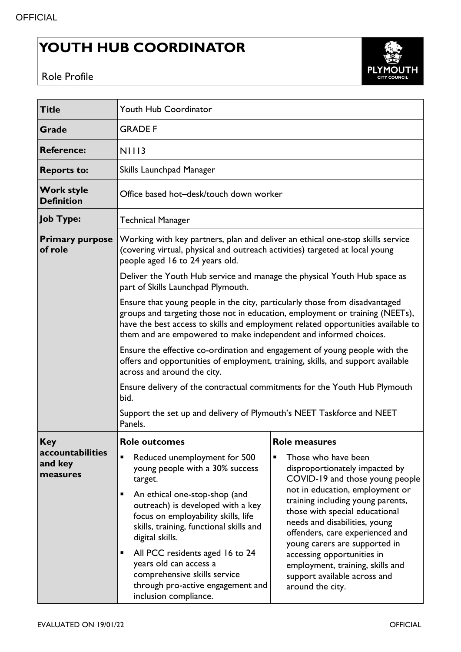## **YOUTH HUB COORDINATOR**



Role Profile

| <b>Title</b>                            | <b>Youth Hub Coordinator</b>                                                                                                                                                                                                                                                                                                                                                                                                                                                                                        |                                                                                                                                                                                                                                                                                                                                   |  |  |
|-----------------------------------------|---------------------------------------------------------------------------------------------------------------------------------------------------------------------------------------------------------------------------------------------------------------------------------------------------------------------------------------------------------------------------------------------------------------------------------------------------------------------------------------------------------------------|-----------------------------------------------------------------------------------------------------------------------------------------------------------------------------------------------------------------------------------------------------------------------------------------------------------------------------------|--|--|
| <b>Grade</b>                            | <b>GRADE F</b>                                                                                                                                                                                                                                                                                                                                                                                                                                                                                                      |                                                                                                                                                                                                                                                                                                                                   |  |  |
| <b>Reference:</b>                       | <b>NIII3</b>                                                                                                                                                                                                                                                                                                                                                                                                                                                                                                        |                                                                                                                                                                                                                                                                                                                                   |  |  |
| <b>Reports to:</b>                      | Skills Launchpad Manager                                                                                                                                                                                                                                                                                                                                                                                                                                                                                            |                                                                                                                                                                                                                                                                                                                                   |  |  |
| <b>Work style</b><br><b>Definition</b>  | Office based hot-desk/touch down worker                                                                                                                                                                                                                                                                                                                                                                                                                                                                             |                                                                                                                                                                                                                                                                                                                                   |  |  |
| Job Type:                               | <b>Technical Manager</b>                                                                                                                                                                                                                                                                                                                                                                                                                                                                                            |                                                                                                                                                                                                                                                                                                                                   |  |  |
| <b>Primary purpose</b><br>of role       | Working with key partners, plan and deliver an ethical one-stop skills service<br>(covering virtual, physical and outreach activities) targeted at local young<br>people aged 16 to 24 years old.                                                                                                                                                                                                                                                                                                                   |                                                                                                                                                                                                                                                                                                                                   |  |  |
|                                         | Deliver the Youth Hub service and manage the physical Youth Hub space as<br>part of Skills Launchpad Plymouth.                                                                                                                                                                                                                                                                                                                                                                                                      |                                                                                                                                                                                                                                                                                                                                   |  |  |
|                                         | Ensure that young people in the city, particularly those from disadvantaged<br>groups and targeting those not in education, employment or training (NEETs),<br>have the best access to skills and employment related opportunities available to<br>them and are empowered to make independent and informed choices.<br>Ensure the effective co-ordination and engagement of young people with the<br>offers and opportunities of employment, training, skills, and support available<br>across and around the city. |                                                                                                                                                                                                                                                                                                                                   |  |  |
|                                         |                                                                                                                                                                                                                                                                                                                                                                                                                                                                                                                     |                                                                                                                                                                                                                                                                                                                                   |  |  |
|                                         | Ensure delivery of the contractual commitments for the Youth Hub Plymouth<br>bid.                                                                                                                                                                                                                                                                                                                                                                                                                                   |                                                                                                                                                                                                                                                                                                                                   |  |  |
|                                         | Support the set up and delivery of Plymouth's NEET Taskforce and NEET<br>Panels.                                                                                                                                                                                                                                                                                                                                                                                                                                    |                                                                                                                                                                                                                                                                                                                                   |  |  |
| <b>Key</b>                              | <b>Role outcomes</b>                                                                                                                                                                                                                                                                                                                                                                                                                                                                                                | <b>Role measures</b>                                                                                                                                                                                                                                                                                                              |  |  |
| accountabilities<br>and key<br>measures | Reduced unemployment for 500<br>П<br>young people with a 30% success<br>target.                                                                                                                                                                                                                                                                                                                                                                                                                                     | Those who have been<br>disproportionately impacted by<br>COVID-19 and those young people                                                                                                                                                                                                                                          |  |  |
|                                         | An ethical one-stop-shop (and<br>п<br>outreach) is developed with a key<br>focus on employability skills, life<br>skills, training, functional skills and<br>digital skills.                                                                                                                                                                                                                                                                                                                                        | not in education, employment or<br>training including young parents,<br>those with special educational<br>needs and disabilities, young<br>offenders, care experienced and<br>young carers are supported in<br>accessing opportunities in<br>employment, training, skills and<br>support available across and<br>around the city. |  |  |
|                                         | All PCC residents aged 16 to 24<br>п<br>years old can access a<br>comprehensive skills service<br>through pro-active engagement and<br>inclusion compliance.                                                                                                                                                                                                                                                                                                                                                        |                                                                                                                                                                                                                                                                                                                                   |  |  |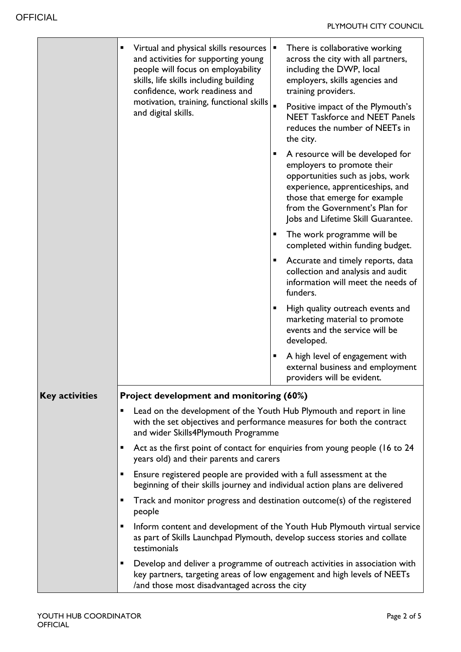|                       | Virtual and physical skills resources<br>П<br>and activities for supporting young<br>people will focus on employability<br>skills, life skills including building<br>confidence, work readiness and<br>motivation, training, functional skills  <br>and digital skills. | There is collaborative working<br>Е<br>across the city with all partners,<br>including the DWP, local<br>employers, skills agencies and<br>training providers.<br>Positive impact of the Plymouth's<br><b>NEET Taskforce and NEET Panels</b><br>reduces the number of NEETs in<br>the city. |  |  |
|-----------------------|-------------------------------------------------------------------------------------------------------------------------------------------------------------------------------------------------------------------------------------------------------------------------|---------------------------------------------------------------------------------------------------------------------------------------------------------------------------------------------------------------------------------------------------------------------------------------------|--|--|
|                       |                                                                                                                                                                                                                                                                         | A resource will be developed for<br>п<br>employers to promote their<br>opportunities such as jobs, work<br>experience, apprenticeships, and<br>those that emerge for example<br>from the Government's Plan for<br>Jobs and Lifetime Skill Guarantee.                                        |  |  |
|                       |                                                                                                                                                                                                                                                                         | The work programme will be<br>п<br>completed within funding budget.                                                                                                                                                                                                                         |  |  |
|                       |                                                                                                                                                                                                                                                                         | Accurate and timely reports, data<br>п<br>collection and analysis and audit<br>information will meet the needs of<br>funders.                                                                                                                                                               |  |  |
|                       |                                                                                                                                                                                                                                                                         | High quality outreach events and<br>п<br>marketing material to promote<br>events and the service will be<br>developed.                                                                                                                                                                      |  |  |
|                       |                                                                                                                                                                                                                                                                         | A high level of engagement with<br>п<br>external business and employment<br>providers will be evident.                                                                                                                                                                                      |  |  |
| <b>Key activities</b> | Project development and monitoring (60%)                                                                                                                                                                                                                                |                                                                                                                                                                                                                                                                                             |  |  |
|                       | Lead on the development of the Youth Hub Plymouth and report in line<br>٠<br>with the set objectives and performance measures for both the contract<br>and wider Skills4Plymouth Programme                                                                              |                                                                                                                                                                                                                                                                                             |  |  |
|                       | Act as the first point of contact for enquiries from young people (16 to 24<br>п<br>years old) and their parents and carers                                                                                                                                             |                                                                                                                                                                                                                                                                                             |  |  |
|                       | Ensure registered people are provided with a full assessment at the<br>beginning of their skills journey and individual action plans are delivered                                                                                                                      |                                                                                                                                                                                                                                                                                             |  |  |
|                       | Track and monitor progress and destination outcome(s) of the registered<br>٠<br>people                                                                                                                                                                                  |                                                                                                                                                                                                                                                                                             |  |  |
|                       | Inform content and development of the Youth Hub Plymouth virtual service<br>п<br>as part of Skills Launchpad Plymouth, develop success stories and collate<br>testimonials                                                                                              |                                                                                                                                                                                                                                                                                             |  |  |
|                       | п<br>/and those most disadvantaged across the city                                                                                                                                                                                                                      | Develop and deliver a programme of outreach activities in association with<br>key partners, targeting areas of low engagement and high levels of NEETs                                                                                                                                      |  |  |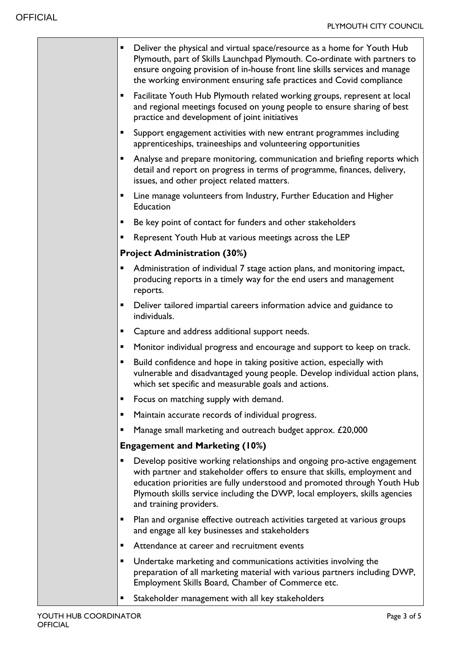| п              | Deliver the physical and virtual space/resource as a home for Youth Hub<br>Plymouth, part of Skills Launchpad Plymouth. Co-ordinate with partners to<br>ensure ongoing provision of in-house front line skills services and manage<br>the working environment ensuring safe practices and Covid compliance                                  |
|----------------|---------------------------------------------------------------------------------------------------------------------------------------------------------------------------------------------------------------------------------------------------------------------------------------------------------------------------------------------|
|                | Facilitate Youth Hub Plymouth related working groups, represent at local<br>and regional meetings focused on young people to ensure sharing of best<br>practice and development of joint initiatives                                                                                                                                        |
| п              | Support engagement activities with new entrant programmes including<br>apprenticeships, traineeships and volunteering opportunities                                                                                                                                                                                                         |
| ш              | Analyse and prepare monitoring, communication and briefing reports which<br>detail and report on progress in terms of programme, finances, delivery,<br>issues, and other project related matters.                                                                                                                                          |
| ш              | Line manage volunteers from Industry, Further Education and Higher<br><b>Education</b>                                                                                                                                                                                                                                                      |
| $\blacksquare$ | Be key point of contact for funders and other stakeholders                                                                                                                                                                                                                                                                                  |
| п              | Represent Youth Hub at various meetings across the LEP                                                                                                                                                                                                                                                                                      |
|                | <b>Project Administration (30%)</b>                                                                                                                                                                                                                                                                                                         |
| п              | Administration of individual 7 stage action plans, and monitoring impact,<br>producing reports in a timely way for the end users and management<br>reports.                                                                                                                                                                                 |
| п              | Deliver tailored impartial careers information advice and guidance to<br>individuals.                                                                                                                                                                                                                                                       |
| $\blacksquare$ | Capture and address additional support needs.                                                                                                                                                                                                                                                                                               |
| п              | Monitor individual progress and encourage and support to keep on track.                                                                                                                                                                                                                                                                     |
| п              | Build confidence and hope in taking positive action, especially with<br>vulnerable and disadvantaged young people. Develop individual action plans,<br>which set specific and measurable goals and actions.                                                                                                                                 |
| п              | Focus on matching supply with demand.                                                                                                                                                                                                                                                                                                       |
| п              | Maintain accurate records of individual progress.                                                                                                                                                                                                                                                                                           |
| п              | Manage small marketing and outreach budget approx. £20,000                                                                                                                                                                                                                                                                                  |
|                | <b>Engagement and Marketing (10%)</b>                                                                                                                                                                                                                                                                                                       |
| п              | Develop positive working relationships and ongoing pro-active engagement<br>with partner and stakeholder offers to ensure that skills, employment and<br>education priorities are fully understood and promoted through Youth Hub<br>Plymouth skills service including the DWP, local employers, skills agencies<br>and training providers. |
| $\blacksquare$ | Plan and organise effective outreach activities targeted at various groups<br>and engage all key businesses and stakeholders                                                                                                                                                                                                                |
| п              | Attendance at career and recruitment events                                                                                                                                                                                                                                                                                                 |
| п              | Undertake marketing and communications activities involving the<br>preparation of all marketing material with various partners including DWP,<br>Employment Skills Board, Chamber of Commerce etc.                                                                                                                                          |
| ٠              | Stakeholder management with all key stakeholders                                                                                                                                                                                                                                                                                            |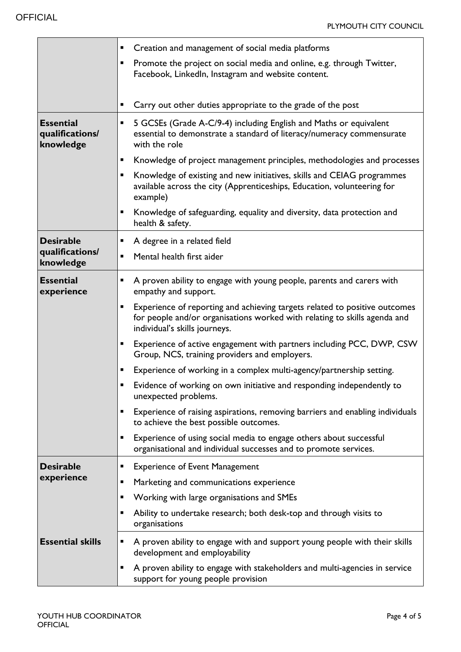|                                                  | п              | Creation and management of social media platforms                                                                                                                                        |
|--------------------------------------------------|----------------|------------------------------------------------------------------------------------------------------------------------------------------------------------------------------------------|
|                                                  | ٠              | Promote the project on social media and online, e.g. through Twitter,<br>Facebook, LinkedIn, Instagram and website content.                                                              |
|                                                  | ٠              | Carry out other duties appropriate to the grade of the post                                                                                                                              |
| <b>Essential</b><br>qualifications/<br>knowledge | Ξ              | 5 GCSEs (Grade A-C/9-4) including English and Maths or equivalent<br>essential to demonstrate a standard of literacy/numeracy commensurate<br>with the role                              |
|                                                  | п              | Knowledge of project management principles, methodologies and processes                                                                                                                  |
|                                                  | Ξ              | Knowledge of existing and new initiatives, skills and CEIAG programmes<br>available across the city (Apprenticeships, Education, volunteering for<br>example)                            |
|                                                  | ٠              | Knowledge of safeguarding, equality and diversity, data protection and<br>health & safety.                                                                                               |
| <b>Desirable</b>                                 | Ξ              | A degree in a related field                                                                                                                                                              |
| qualifications/<br>knowledge                     | ×,             | Mental health first aider                                                                                                                                                                |
| <b>Essential</b><br>experience                   | ш              | A proven ability to engage with young people, parents and carers with<br>empathy and support.                                                                                            |
|                                                  | $\blacksquare$ | Experience of reporting and achieving targets related to positive outcomes<br>for people and/or organisations worked with relating to skills agenda and<br>individual's skills journeys. |
|                                                  | $\blacksquare$ | Experience of active engagement with partners including PCC, DWP, CSW<br>Group, NCS, training providers and employers.                                                                   |
|                                                  | п              | Experience of working in a complex multi-agency/partnership setting.                                                                                                                     |
|                                                  |                | Evidence of working on own initiative and responding independently to<br>unexpected problems.                                                                                            |
|                                                  | ٠              | Experience of raising aspirations, removing barriers and enabling individuals<br>to achieve the best possible outcomes.                                                                  |
|                                                  | п              | Experience of using social media to engage others about successful<br>organisational and individual successes and to promote services.                                                   |
| <b>Desirable</b>                                 | п              | <b>Experience of Event Management</b>                                                                                                                                                    |
| experience                                       | ٠              | Marketing and communications experience                                                                                                                                                  |
|                                                  | ٠              | Working with large organisations and SMEs                                                                                                                                                |
|                                                  | ٠              | Ability to undertake research; both desk-top and through visits to<br>organisations                                                                                                      |
| <b>Essential skills</b>                          | Ξ              | A proven ability to engage with and support young people with their skills<br>development and employability                                                                              |
|                                                  | п              | A proven ability to engage with stakeholders and multi-agencies in service<br>support for young people provision                                                                         |